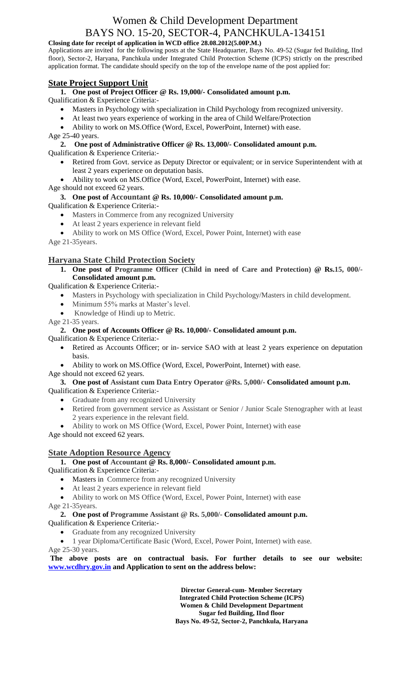# Women & Child Development Department BAYS NO. 15-20, SECTOR-4, PANCHKULA-134151

### **Closing date for receipt of application in WCD office 28.08.2012(5.00P.M.)**

Applications are invited for the following posts at the State Headquarter, Bays No. 49-52 (Sugar fed Building, IInd floor), Sector-2, Haryana, Panchkula under Integrated Child Protection Scheme (ICPS) strictly on the prescribed application format. The candidate should specify on the top of the envelope name of the post applied for:

## **State Project Support Unit**

**1. One post of Project Officer @ Rs. 19,000/- Consolidated amount p.m.** Qualification & Experience Criteria:-

- Masters in Psychology with specialization in Child Psychology from recognized university.
- At least two years experience of working in the area of Child Welfare/Protection
- Ability to work on MS.Office (Word, Excel, PowerPoint, Internet) with ease.

Age 25-40 years.

**2. One post of Administrative Officer @ Rs. 13,000/- Consolidated amount p.m.**

Qualification & Experience Criteria:-

- Retired from Govt. service as Deputy Director or equivalent; or in service Superintendent with at least 2 years experience on deputation basis.
- Ability to work on MS.Office (Word, Excel, PowerPoint, Internet) with ease.

Age should not exceed 62 years.

## **3. One post of Accountant @ Rs. 10,000/- Consolidated amount p.m.**

Qualification & Experience Criteria:-

- Masters in Commerce from any recognized University
- At least 2 years experience in relevant field
- Ability to work on MS Office (Word, Excel, Power Point, Internet) with ease

Age 21-35years.

## **Haryana State Child Protection Society**

**1. One post of Programme Officer (Child in need of Care and Protection) @ Rs.15, 000/- Consolidated amount p.m.**

Qualification & Experience Criteria:-

- Masters in Psychology with specialization in Child Psychology/Masters in child development.
- Minimum 55% marks at Master's level.
- Knowledge of Hindi up to Metric.

Age 21-35 years.

**2. One post of Accounts Officer @ Rs. 10,000/- Consolidated amount p.m.**

Qualification & Experience Criteria:-

- Retired as Accounts Officer; or in- service SAO with at least 2 years experience on deputation basis.
- Ability to work on MS.Office (Word, Excel, PowerPoint, Internet) with ease.

Age should not exceed 62 years.

## **3. One post of Assistant cum Data Entry Operator @Rs. 5,000/- Consolidated amount p.m.**

Qualification & Experience Criteria:-

- Graduate from any recognized University
- Retired from government service as Assistant or Senior / Junior Scale Stenographer with at least 2 years experience in the relevant field.
- Ability to work on MS Office (Word, Excel, Power Point, Internet) with ease

Age should not exceed 62 years.

## **State Adoption Resource Agency**

## **1. One post of Accountant @ Rs. 8,000/- Consolidated amount p.m.**

Qualification & Experience Criteria:-

- Masters in Commerce from any recognized University
- At least 2 years experience in relevant field
- Ability to work on MS Office (Word, Excel, Power Point, Internet) with ease

Age 21-35years.

#### **2. One post of Programme Assistant @ Rs. 5,000/- Consolidated amount p.m.** Qualification & Experience Criteria:-

- Graduate from any recognized University
- 1 year Diploma/Certificate Basic (Word, Excel, Power Point, Internet) with ease.

Age 25-30 years.

**The above posts are on contractual basis. For further details to see our website: [www.wcdhry.gov.in](http://www.wcdhry.gov.in/) and Application to sent on the address below:**

> **Director General-cum- Member Secretary Integrated Child Protection Scheme (ICPS) Women & Child Development Department Sugar fed Building, IInd floor Bays No. 49-52, Sector-2, Panchkula, Haryana**